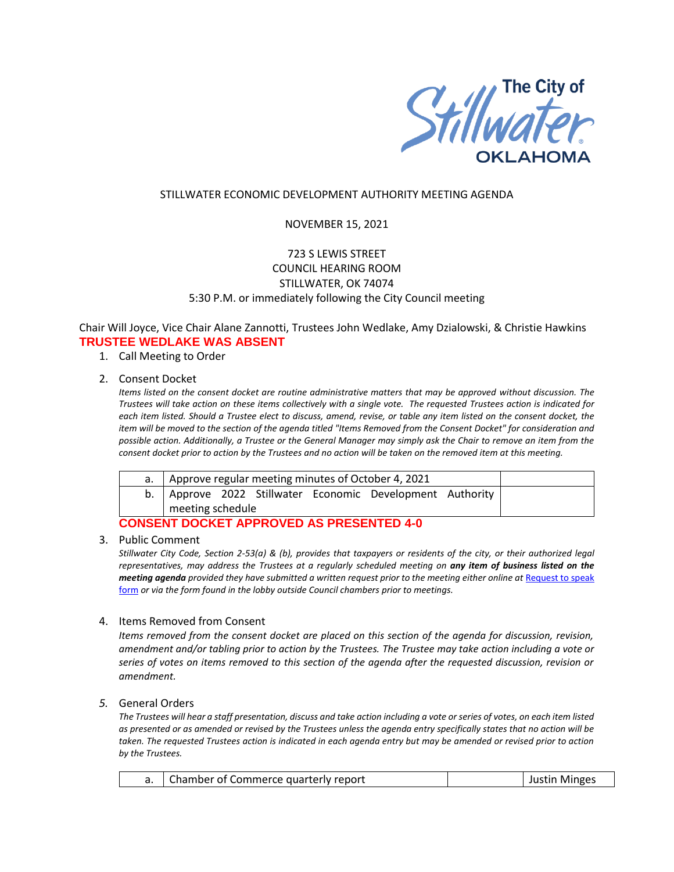

### STILLWATER ECONOMIC DEVELOPMENT AUTHORITY MEETING AGENDA

### NOVEMBER 15, 2021

# 723 S LEWIS STREET COUNCIL HEARING ROOM STILLWATER, OK 74074 5:30 P.M. or immediately following the City Council meeting

Chair Will Joyce, Vice Chair Alane Zannotti, Trustees John Wedlake, Amy Dzialowski, & Christie Hawkins **TRUSTEE WEDLAKE WAS ABSENT**

- 1. Call Meeting to Order
- 2. Consent Docket

*Items listed on the consent docket are routine administrative matters that may be approved without discussion. The Trustees will take action on these items collectively with a single vote. The requested Trustees action is indicated for each item listed. Should a Trustee elect to discuss, amend, revise, or table any item listed on the consent docket, the item will be moved to the section of the agenda titled "Items Removed from the Consent Docket" for consideration and possible action. Additionally, a Trustee or the General Manager may simply ask the Chair to remove an item from the consent docket prior to action by the Trustees and no action will be taken on the removed item at this meeting.*

| Approve regular meeting minutes of October 4, 2021 |  |  |  |                                                             |  |  |
|----------------------------------------------------|--|--|--|-------------------------------------------------------------|--|--|
|                                                    |  |  |  | b.   Approve 2022 Stillwater Economic Development Authority |  |  |
| meeting schedule                                   |  |  |  |                                                             |  |  |

## **CONSENT DOCKET APPROVED AS PRESENTED 4-0**

3. Public Comment

*Stillwater City Code, Section 2-53(a) & (b), provides that taxpayers or residents of the city, or their authorized legal representatives, may address the Trustees at a regularly scheduled meeting on any item of business listed on the meeting agenda provided they have submitted a written request prior to the meeting either online at Request to speak* [form](http://stillwater.org/page/home/government/mayor-city-council/meetings-agendas-minutes/online-request-to-speak-at-city-council) *or via the form found in the lobby outside Council chambers prior to meetings.*

#### 4. Items Removed from Consent

*Items removed from the consent docket are placed on this section of the agenda for discussion, revision, amendment and/or tabling prior to action by the Trustees. The Trustee may take action including a vote or series of votes on items removed to this section of the agenda after the requested discussion, revision or amendment.*

### *5.* General Orders

*The Trustees will hear a staff presentation, discuss and take action including a vote or series of votes, on each item listed as presented or as amended or revised by the Trustees unless the agenda entry specifically states that no action will be taken. The requested Trustees action is indicated in each agenda entry but may be amended or revised prior to action by the Trustees.* 

| Chamber of Commerce quarterly report |  | Justin Minges |
|--------------------------------------|--|---------------|
|--------------------------------------|--|---------------|